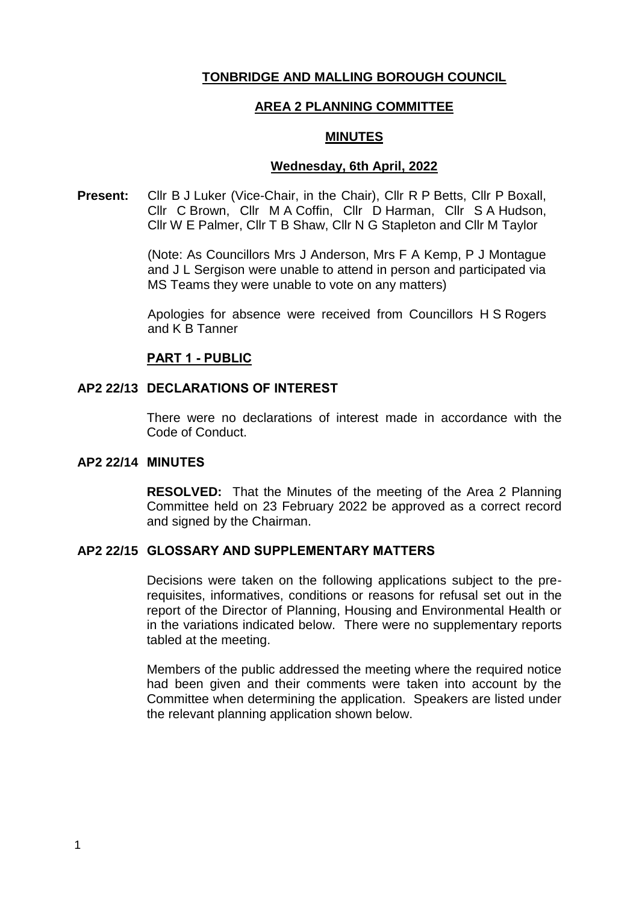## **TONBRIDGE AND MALLING BOROUGH COUNCIL**

## **AREA 2 PLANNING COMMITTEE**

## **MINUTES**

#### **Wednesday, 6th April, 2022**

**Present:** Cllr B J Luker (Vice-Chair, in the Chair), Cllr R P Betts, Cllr P Boxall, Cllr C Brown, Cllr M A Coffin, Cllr D Harman, Cllr S A Hudson, Cllr W E Palmer, Cllr T B Shaw, Cllr N G Stapleton and Cllr M Taylor

> (Note: As Councillors Mrs J Anderson, Mrs F A Kemp, P J Montague and J L Sergison were unable to attend in person and participated via MS Teams they were unable to vote on any matters)

> Apologies for absence were received from Councillors H S Rogers and K B Tanner

## **PART 1 - PUBLIC**

### **AP2 22/13 DECLARATIONS OF INTEREST**

There were no declarations of interest made in accordance with the Code of Conduct.

#### **AP2 22/14 MINUTES**

**RESOLVED:** That the Minutes of the meeting of the Area 2 Planning Committee held on 23 February 2022 be approved as a correct record and signed by the Chairman.

## **AP2 22/15 GLOSSARY AND SUPPLEMENTARY MATTERS**

Decisions were taken on the following applications subject to the prerequisites, informatives, conditions or reasons for refusal set out in the report of the Director of Planning, Housing and Environmental Health or in the variations indicated below. There were no supplementary reports tabled at the meeting.

Members of the public addressed the meeting where the required notice had been given and their comments were taken into account by the Committee when determining the application. Speakers are listed under the relevant planning application shown below.